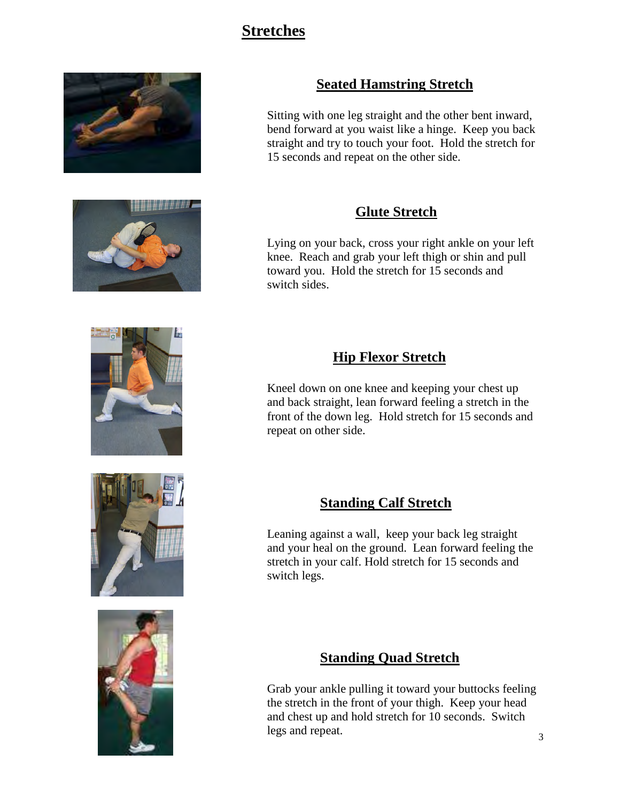# **Stretches**





## **Seated Hamstring Stretch**

Sitting with one leg straight and the other bent inward, bend forward at you waist like a hinge. Keep you back straight and try to touch your foot. Hold the stretch for 15 seconds and repeat on the other side.

#### **Glute Stretch**

Lying on your back, cross your right ankle on your left knee. Reach and grab your left thigh or shin and pull toward you. Hold the stretch for 15 seconds and switch sides.

### **Hip Flexor Stretch**

Kneel down on one knee and keeping your chest up and back straight, lean forward feeling a stretch in the front of the down leg. Hold stretch for 15 seconds and repeat on other side.

#### **Standing Calf Stretch**

Leaning against a wall, keep your back leg straight and your heal on the ground. Lean forward feeling the stretch in your calf. Hold stretch for 15 seconds and switch legs.

### **Standing Quad Stretch**

Grab your ankle pulling it toward your buttocks feeling the stretch in the front of your thigh. Keep your head and chest up and hold stretch for 10 seconds. Switch legs and repeat.





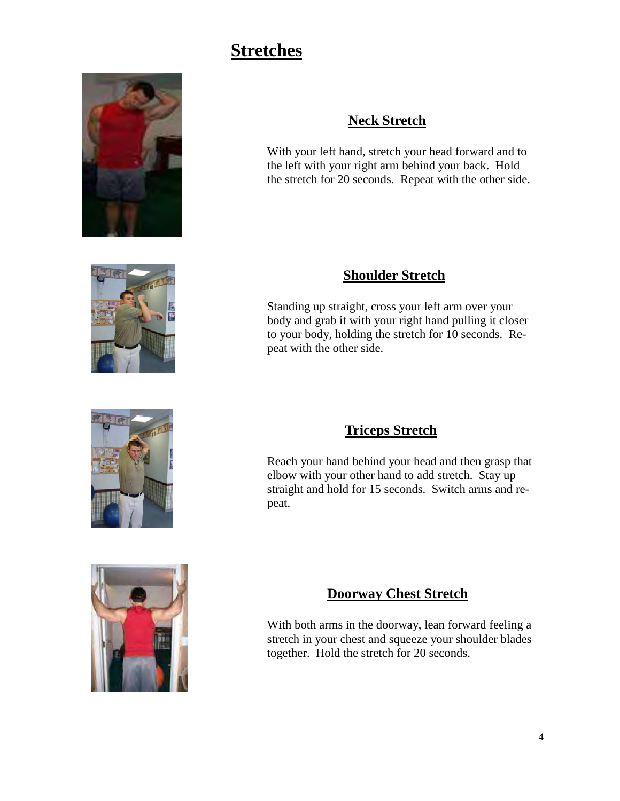# **Stretches**









## **Neck Stretch**

With your left hand, stretch your head forward and to the left with your right arm behind your back. Hold the stretch for 20 seconds. Repeat with the other side.

### **Shoulder Stretch**

Standing up straight, cross your left arm over your body and grab it with your right hand pulling it closer to your body, holding the stretch for 10 seconds. Repeat with the other side.

## **Triceps Stretch**

Reach your hand behind your head and then grasp that elbow with your other hand to add stretch. Stay up straight and hold for 15 seconds. Switch arms and repeat.

# **Doorway Chest Stretch**

With both arms in the doorway, lean forward feeling a stretch in your chest and squeeze your shoulder blades together. Hold the stretch for 20 seconds.